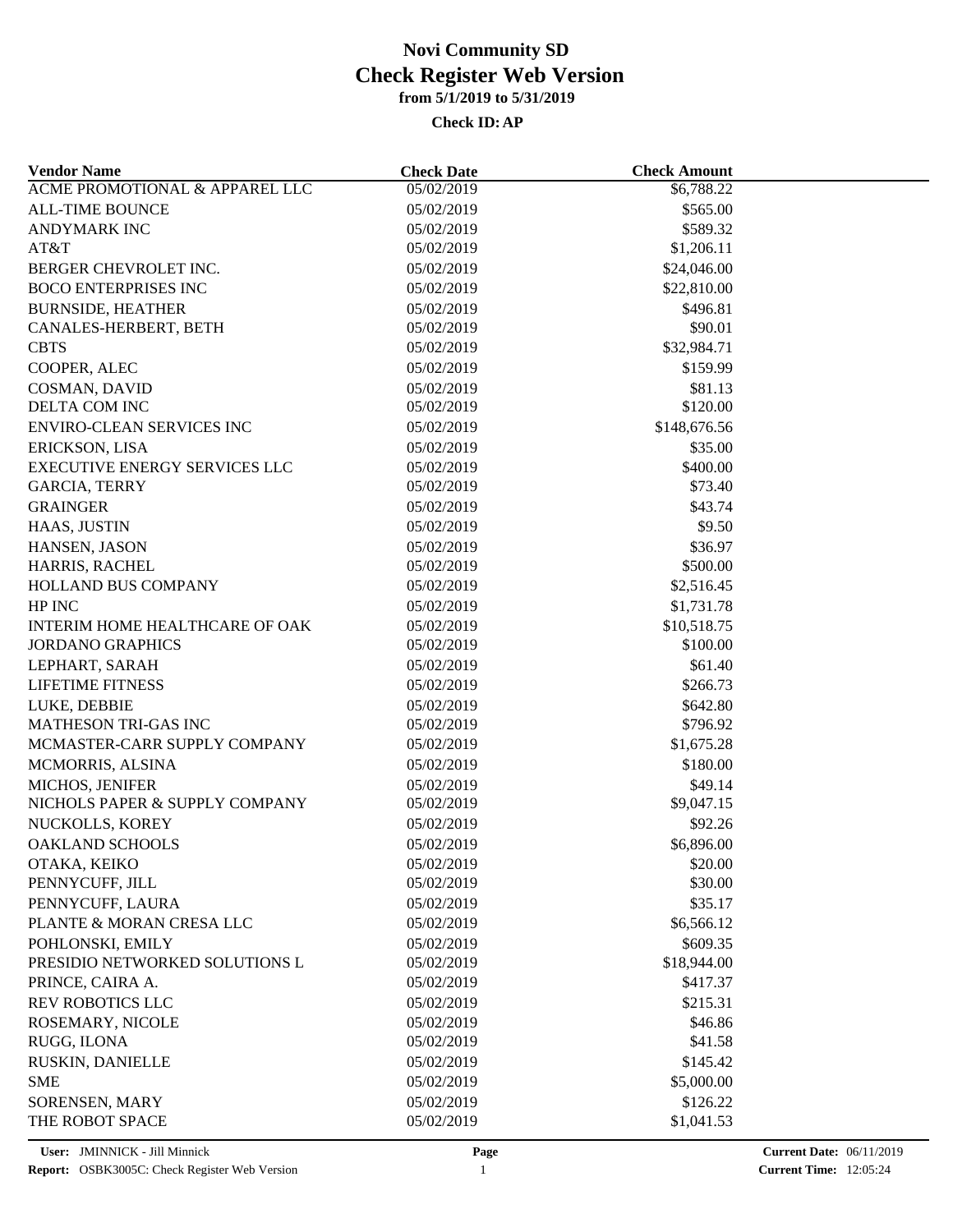| <b>Vendor Name</b>             | <b>Check Date</b> | <b>Check Amount</b> |  |
|--------------------------------|-------------------|---------------------|--|
| ACME PROMOTIONAL & APPAREL LLC | 05/02/2019        | \$6,788.22          |  |
| <b>ALL-TIME BOUNCE</b>         | 05/02/2019        | \$565.00            |  |
| <b>ANDYMARK INC</b>            | 05/02/2019        | \$589.32            |  |
| AT&T                           | 05/02/2019        | \$1,206.11          |  |
| BERGER CHEVROLET INC.          | 05/02/2019        | \$24,046.00         |  |
| <b>BOCO ENTERPRISES INC</b>    | 05/02/2019        | \$22,810.00         |  |
| <b>BURNSIDE, HEATHER</b>       | 05/02/2019        | \$496.81            |  |
| CANALES-HERBERT, BETH          | 05/02/2019        | \$90.01             |  |
| <b>CBTS</b>                    | 05/02/2019        | \$32,984.71         |  |
| COOPER, ALEC                   | 05/02/2019        | \$159.99            |  |
| <b>COSMAN, DAVID</b>           | 05/02/2019        | \$81.13             |  |
| DELTA COM INC                  | 05/02/2019        | \$120.00            |  |
| ENVIRO-CLEAN SERVICES INC      | 05/02/2019        | \$148,676.56        |  |
| ERICKSON, LISA                 | 05/02/2019        | \$35.00             |  |
| EXECUTIVE ENERGY SERVICES LLC  | 05/02/2019        | \$400.00            |  |
| <b>GARCIA, TERRY</b>           | 05/02/2019        | \$73.40             |  |
| <b>GRAINGER</b>                | 05/02/2019        | \$43.74             |  |
| HAAS, JUSTIN                   | 05/02/2019        | \$9.50              |  |
|                                |                   |                     |  |
| HANSEN, JASON                  | 05/02/2019        | \$36.97             |  |
| HARRIS, RACHEL                 | 05/02/2019        | \$500.00            |  |
| <b>HOLLAND BUS COMPANY</b>     | 05/02/2019        | \$2,516.45          |  |
| HP INC                         | 05/02/2019        | \$1,731.78          |  |
| INTERIM HOME HEALTHCARE OF OAK | 05/02/2019        | \$10,518.75         |  |
| <b>JORDANO GRAPHICS</b>        | 05/02/2019        | \$100.00            |  |
| LEPHART, SARAH                 | 05/02/2019        | \$61.40             |  |
| <b>LIFETIME FITNESS</b>        | 05/02/2019        | \$266.73            |  |
| LUKE, DEBBIE                   | 05/02/2019        | \$642.80            |  |
| <b>MATHESON TRI-GAS INC</b>    | 05/02/2019        | \$796.92            |  |
| MCMASTER-CARR SUPPLY COMPANY   | 05/02/2019        | \$1,675.28          |  |
| MCMORRIS, ALSINA               | 05/02/2019        | \$180.00            |  |
| MICHOS, JENIFER                | 05/02/2019        | \$49.14             |  |
| NICHOLS PAPER & SUPPLY COMPANY | 05/02/2019        | \$9,047.15          |  |
| NUCKOLLS, KOREY                | 05/02/2019        | \$92.26             |  |
| <b>OAKLAND SCHOOLS</b>         | 05/02/2019        | \$6,896.00          |  |
| OTAKA, KEIKO                   | 05/02/2019        | \$20.00             |  |
| PENNYCUFF, JILL                | 05/02/2019        | \$30.00             |  |
| PENNYCUFF, LAURA               | 05/02/2019        | \$35.17             |  |
| PLANTE & MORAN CRESA LLC       | 05/02/2019        | \$6,566.12          |  |
| POHLONSKI, EMILY               | 05/02/2019        | \$609.35            |  |
| PRESIDIO NETWORKED SOLUTIONS L | 05/02/2019        | \$18,944.00         |  |
| PRINCE, CAIRA A.               | 05/02/2019        | \$417.37            |  |
| <b>REV ROBOTICS LLC</b>        | 05/02/2019        | \$215.31            |  |
| ROSEMARY, NICOLE               | 05/02/2019        | \$46.86             |  |
| RUGG, ILONA                    | 05/02/2019        | \$41.58             |  |
| RUSKIN, DANIELLE               | 05/02/2019        | \$145.42            |  |
| <b>SME</b>                     | 05/02/2019        | \$5,000.00          |  |
| SORENSEN, MARY                 | 05/02/2019        | \$126.22            |  |
| THE ROBOT SPACE                | 05/02/2019        | \$1,041.53          |  |
|                                |                   |                     |  |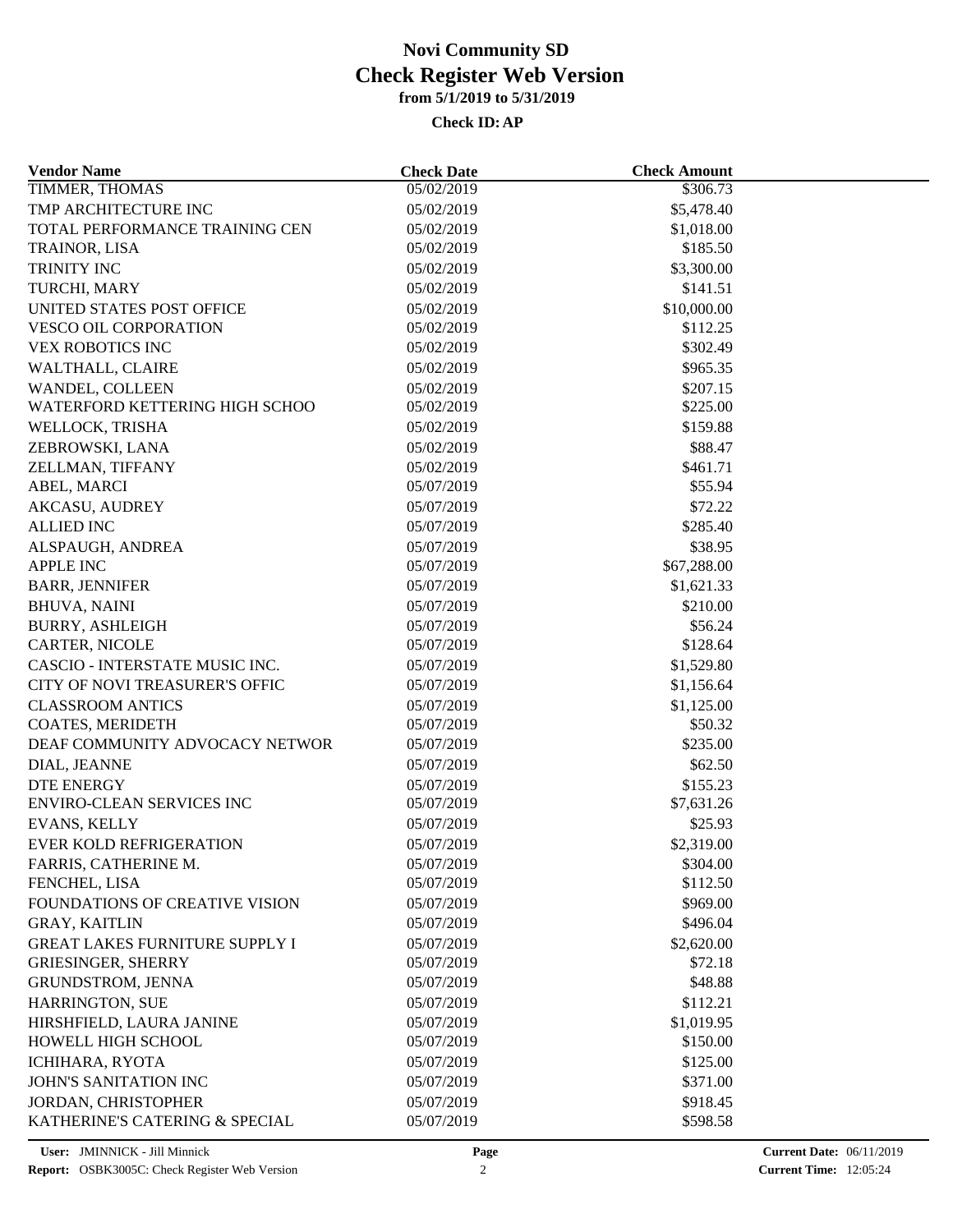| <b>Vendor Name</b>                              | <b>Check Date</b>        | <b>Check Amount</b> |  |
|-------------------------------------------------|--------------------------|---------------------|--|
| TIMMER, THOMAS                                  | 05/02/2019               | \$306.73            |  |
| TMP ARCHITECTURE INC                            | 05/02/2019               | \$5,478.40          |  |
| TOTAL PERFORMANCE TRAINING CEN                  | 05/02/2019               | \$1,018.00          |  |
| TRAINOR, LISA                                   | 05/02/2019               | \$185.50            |  |
| TRINITY INC                                     | 05/02/2019               | \$3,300.00          |  |
| TURCHI, MARY                                    | 05/02/2019               | \$141.51            |  |
| UNITED STATES POST OFFICE                       | 05/02/2019               | \$10,000.00         |  |
| <b>VESCO OIL CORPORATION</b>                    | 05/02/2019               | \$112.25            |  |
| <b>VEX ROBOTICS INC</b>                         | 05/02/2019               | \$302.49            |  |
| WALTHALL, CLAIRE                                | 05/02/2019               | \$965.35            |  |
| WANDEL, COLLEEN                                 | 05/02/2019               | \$207.15            |  |
| WATERFORD KETTERING HIGH SCHOO                  | 05/02/2019               | \$225.00            |  |
| WELLOCK, TRISHA                                 | 05/02/2019               | \$159.88            |  |
| ZEBROWSKI, LANA                                 | 05/02/2019               | \$88.47             |  |
| ZELLMAN, TIFFANY                                | 05/02/2019               | \$461.71            |  |
| ABEL, MARCI                                     | 05/07/2019               | \$55.94             |  |
| <b>AKCASU, AUDREY</b>                           | 05/07/2019               | \$72.22             |  |
| <b>ALLIED INC</b>                               | 05/07/2019               | \$285.40            |  |
| ALSPAUGH, ANDREA                                | 05/07/2019               | \$38.95             |  |
| <b>APPLE INC</b>                                | 05/07/2019               | \$67,288.00         |  |
| <b>BARR, JENNIFER</b>                           | 05/07/2019               | \$1,621.33          |  |
| <b>BHUVA, NAINI</b>                             | 05/07/2019               | \$210.00            |  |
|                                                 |                          |                     |  |
| <b>BURRY, ASHLEIGH</b><br><b>CARTER, NICOLE</b> | 05/07/2019<br>05/07/2019 | \$56.24<br>\$128.64 |  |
| CASCIO - INTERSTATE MUSIC INC.                  | 05/07/2019               | \$1,529.80          |  |
|                                                 |                          |                     |  |
| CITY OF NOVI TREASURER'S OFFIC                  | 05/07/2019               | \$1,156.64          |  |
| <b>CLASSROOM ANTICS</b>                         | 05/07/2019               | \$1,125.00          |  |
| COATES, MERIDETH                                | 05/07/2019               | \$50.32             |  |
| DEAF COMMUNITY ADVOCACY NETWOR                  | 05/07/2019               | \$235.00            |  |
| DIAL, JEANNE                                    | 05/07/2019               | \$62.50             |  |
| <b>DTE ENERGY</b>                               | 05/07/2019               | \$155.23            |  |
| <b>ENVIRO-CLEAN SERVICES INC</b>                | 05/07/2019               | \$7,631.26          |  |
| <b>EVANS, KELLY</b>                             | 05/07/2019               | \$25.93             |  |
| <b>EVER KOLD REFRIGERATION</b>                  | 05/07/2019               | \$2,319.00          |  |
| FARRIS, CATHERINE M.                            | 05/07/2019               | \$304.00            |  |
| FENCHEL, LISA                                   | 05/07/2019               | \$112.50            |  |
| <b>FOUNDATIONS OF CREATIVE VISION</b>           | 05/07/2019               | \$969.00            |  |
| <b>GRAY, KAITLIN</b>                            | 05/07/2019               | \$496.04            |  |
| <b>GREAT LAKES FURNITURE SUPPLY I</b>           | 05/07/2019               | \$2,620.00          |  |
| <b>GRIESINGER, SHERRY</b>                       | 05/07/2019               | \$72.18             |  |
| GRUNDSTROM, JENNA                               | 05/07/2019               | \$48.88             |  |
| <b>HARRINGTON, SUE</b>                          | 05/07/2019               | \$112.21            |  |
| HIRSHFIELD, LAURA JANINE                        | 05/07/2019               | \$1,019.95          |  |
| HOWELL HIGH SCHOOL                              | 05/07/2019               | \$150.00            |  |
| ICHIHARA, RYOTA                                 | 05/07/2019               | \$125.00            |  |
| <b>JOHN'S SANITATION INC</b>                    | 05/07/2019               | \$371.00            |  |
| <b>JORDAN, CHRISTOPHER</b>                      | 05/07/2019               | \$918.45            |  |
| KATHERINE'S CATERING & SPECIAL                  | 05/07/2019               | \$598.58            |  |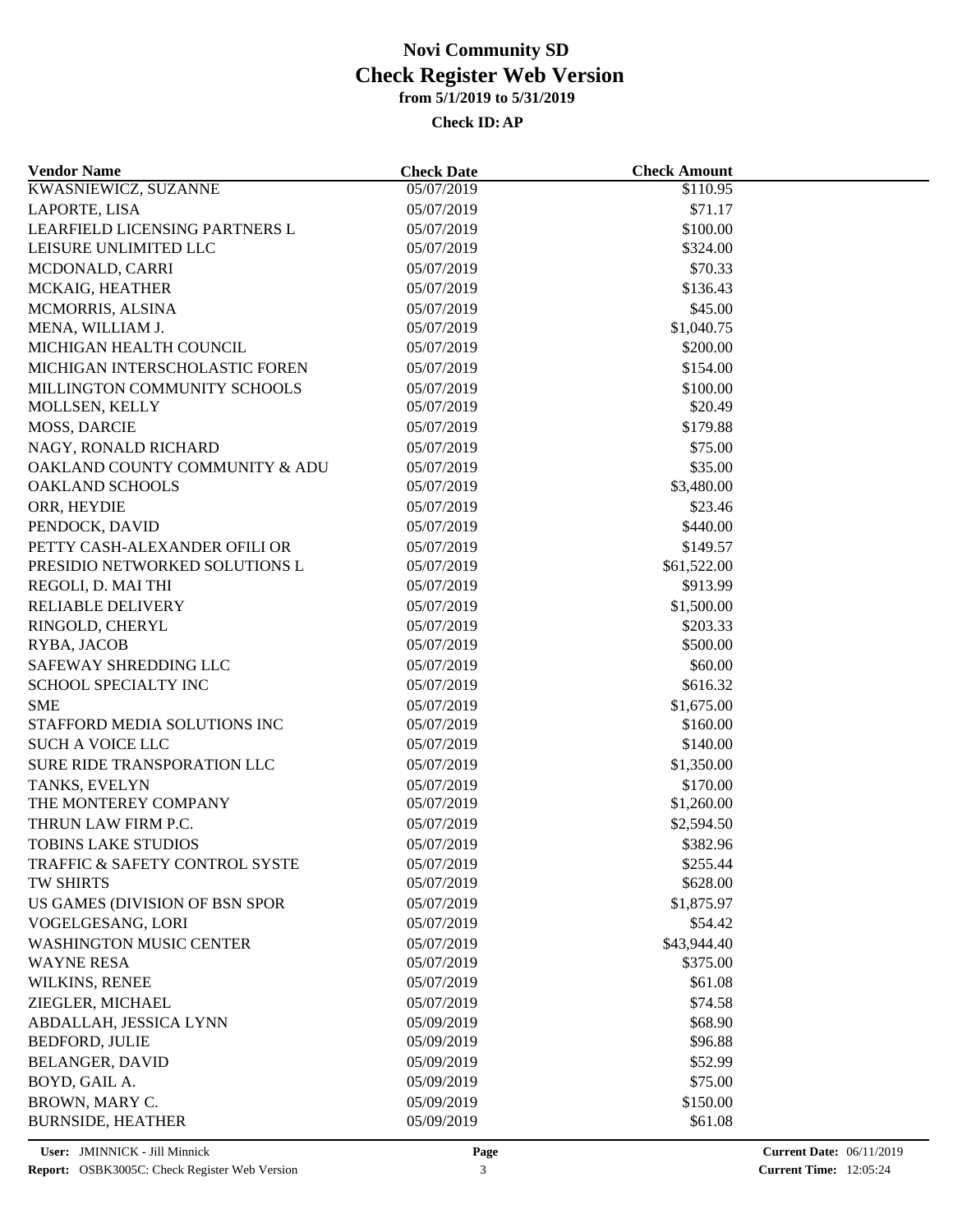| <b>KWASNIEWICZ, SUZANNE</b><br>\$110.95<br>05/07/2019<br>\$71.17<br>05/07/2019<br>05/07/2019<br>\$100.00<br>05/07/2019<br>\$324.00<br>\$70.33<br>05/07/2019<br>05/07/2019<br>\$136.43<br>MCMORRIS, ALSINA<br>05/07/2019<br>\$45.00<br>MENA, WILLIAM J.<br>05/07/2019<br>\$1,040.75<br>05/07/2019<br>\$200.00<br>MICHIGAN INTERSCHOLASTIC FOREN<br>\$154.00<br>05/07/2019<br>MILLINGTON COMMUNITY SCHOOLS<br>05/07/2019<br>\$100.00<br>\$20.49<br>MOLLSEN, KELLY<br>05/07/2019<br><b>MOSS, DARCIE</b><br>05/07/2019<br>\$179.88<br>NAGY, RONALD RICHARD<br>05/07/2019<br>\$75.00<br>OAKLAND COUNTY COMMUNITY & ADU<br>05/07/2019<br>\$35.00<br><b>OAKLAND SCHOOLS</b><br>05/07/2019<br>\$3,480.00<br>ORR, HEYDIE<br>\$23.46<br>05/07/2019<br>PENDOCK, DAVID<br>05/07/2019<br>\$440.00<br>PETTY CASH-ALEXANDER OFILI OR<br>05/07/2019<br>\$149.57<br>PRESIDIO NETWORKED SOLUTIONS L<br>05/07/2019<br>\$61,522.00<br>REGOLI, D. MAI THI<br>05/07/2019<br>\$913.99<br><b>RELIABLE DELIVERY</b><br>05/07/2019<br>\$1,500.00<br>RINGOLD, CHERYL<br>05/07/2019<br>\$203.33<br>\$500.00<br>RYBA, JACOB<br>05/07/2019<br>SAFEWAY SHREDDING LLC<br>\$60.00<br>05/07/2019<br>SCHOOL SPECIALTY INC<br>\$616.32<br>05/07/2019<br>05/07/2019<br>\$1,675.00<br><b>SME</b><br>STAFFORD MEDIA SOLUTIONS INC<br>\$160.00<br>05/07/2019<br><b>SUCH A VOICE LLC</b><br>05/07/2019<br>\$140.00<br>SURE RIDE TRANSPORATION LLC<br>05/07/2019<br>\$1,350.00<br>05/07/2019<br>\$170.00<br>TANKS, EVELYN<br>THE MONTEREY COMPANY<br>05/07/2019<br>\$1,260.00<br>THRUN LAW FIRM P.C.<br>05/07/2019<br>\$2,594.50<br><b>TOBINS LAKE STUDIOS</b><br>\$382.96<br>05/07/2019<br>\$255.44<br>TRAFFIC & SAFETY CONTROL SYSTE<br>05/07/2019<br>TW SHIRTS<br>05/07/2019<br>\$628.00<br>\$1,875.97<br>US GAMES (DIVISION OF BSN SPOR<br>05/07/2019<br>VOGELGESANG, LORI<br>05/07/2019<br>\$54.42<br>05/07/2019<br>\$43,944.40<br>05/07/2019<br>\$375.00<br>\$61.08<br>05/07/2019<br>\$74.58<br>05/07/2019<br>05/09/2019<br>\$68.90<br>\$96.88<br>05/09/2019<br>\$52.99<br>05/09/2019<br>05/09/2019<br>\$75.00<br>05/09/2019<br>\$150.00<br>05/09/2019<br>\$61.08 | <b>Vendor Name</b>             | <b>Check Date</b> | <b>Check Amount</b> |  |
|-------------------------------------------------------------------------------------------------------------------------------------------------------------------------------------------------------------------------------------------------------------------------------------------------------------------------------------------------------------------------------------------------------------------------------------------------------------------------------------------------------------------------------------------------------------------------------------------------------------------------------------------------------------------------------------------------------------------------------------------------------------------------------------------------------------------------------------------------------------------------------------------------------------------------------------------------------------------------------------------------------------------------------------------------------------------------------------------------------------------------------------------------------------------------------------------------------------------------------------------------------------------------------------------------------------------------------------------------------------------------------------------------------------------------------------------------------------------------------------------------------------------------------------------------------------------------------------------------------------------------------------------------------------------------------------------------------------------------------------------------------------------------------------------------------------------------------------------------------------------------------------------------------------------------------------------------------------------------------------------------------------------------------------------------------------------------------------------------------------------------------|--------------------------------|-------------------|---------------------|--|
|                                                                                                                                                                                                                                                                                                                                                                                                                                                                                                                                                                                                                                                                                                                                                                                                                                                                                                                                                                                                                                                                                                                                                                                                                                                                                                                                                                                                                                                                                                                                                                                                                                                                                                                                                                                                                                                                                                                                                                                                                                                                                                                               |                                |                   |                     |  |
|                                                                                                                                                                                                                                                                                                                                                                                                                                                                                                                                                                                                                                                                                                                                                                                                                                                                                                                                                                                                                                                                                                                                                                                                                                                                                                                                                                                                                                                                                                                                                                                                                                                                                                                                                                                                                                                                                                                                                                                                                                                                                                                               | LAPORTE, LISA                  |                   |                     |  |
|                                                                                                                                                                                                                                                                                                                                                                                                                                                                                                                                                                                                                                                                                                                                                                                                                                                                                                                                                                                                                                                                                                                                                                                                                                                                                                                                                                                                                                                                                                                                                                                                                                                                                                                                                                                                                                                                                                                                                                                                                                                                                                                               | LEARFIELD LICENSING PARTNERS L |                   |                     |  |
|                                                                                                                                                                                                                                                                                                                                                                                                                                                                                                                                                                                                                                                                                                                                                                                                                                                                                                                                                                                                                                                                                                                                                                                                                                                                                                                                                                                                                                                                                                                                                                                                                                                                                                                                                                                                                                                                                                                                                                                                                                                                                                                               | LEISURE UNLIMITED LLC          |                   |                     |  |
|                                                                                                                                                                                                                                                                                                                                                                                                                                                                                                                                                                                                                                                                                                                                                                                                                                                                                                                                                                                                                                                                                                                                                                                                                                                                                                                                                                                                                                                                                                                                                                                                                                                                                                                                                                                                                                                                                                                                                                                                                                                                                                                               | MCDONALD, CARRI                |                   |                     |  |
|                                                                                                                                                                                                                                                                                                                                                                                                                                                                                                                                                                                                                                                                                                                                                                                                                                                                                                                                                                                                                                                                                                                                                                                                                                                                                                                                                                                                                                                                                                                                                                                                                                                                                                                                                                                                                                                                                                                                                                                                                                                                                                                               | MCKAIG, HEATHER                |                   |                     |  |
|                                                                                                                                                                                                                                                                                                                                                                                                                                                                                                                                                                                                                                                                                                                                                                                                                                                                                                                                                                                                                                                                                                                                                                                                                                                                                                                                                                                                                                                                                                                                                                                                                                                                                                                                                                                                                                                                                                                                                                                                                                                                                                                               |                                |                   |                     |  |
|                                                                                                                                                                                                                                                                                                                                                                                                                                                                                                                                                                                                                                                                                                                                                                                                                                                                                                                                                                                                                                                                                                                                                                                                                                                                                                                                                                                                                                                                                                                                                                                                                                                                                                                                                                                                                                                                                                                                                                                                                                                                                                                               |                                |                   |                     |  |
|                                                                                                                                                                                                                                                                                                                                                                                                                                                                                                                                                                                                                                                                                                                                                                                                                                                                                                                                                                                                                                                                                                                                                                                                                                                                                                                                                                                                                                                                                                                                                                                                                                                                                                                                                                                                                                                                                                                                                                                                                                                                                                                               | MICHIGAN HEALTH COUNCIL        |                   |                     |  |
|                                                                                                                                                                                                                                                                                                                                                                                                                                                                                                                                                                                                                                                                                                                                                                                                                                                                                                                                                                                                                                                                                                                                                                                                                                                                                                                                                                                                                                                                                                                                                                                                                                                                                                                                                                                                                                                                                                                                                                                                                                                                                                                               |                                |                   |                     |  |
|                                                                                                                                                                                                                                                                                                                                                                                                                                                                                                                                                                                                                                                                                                                                                                                                                                                                                                                                                                                                                                                                                                                                                                                                                                                                                                                                                                                                                                                                                                                                                                                                                                                                                                                                                                                                                                                                                                                                                                                                                                                                                                                               |                                |                   |                     |  |
|                                                                                                                                                                                                                                                                                                                                                                                                                                                                                                                                                                                                                                                                                                                                                                                                                                                                                                                                                                                                                                                                                                                                                                                                                                                                                                                                                                                                                                                                                                                                                                                                                                                                                                                                                                                                                                                                                                                                                                                                                                                                                                                               |                                |                   |                     |  |
|                                                                                                                                                                                                                                                                                                                                                                                                                                                                                                                                                                                                                                                                                                                                                                                                                                                                                                                                                                                                                                                                                                                                                                                                                                                                                                                                                                                                                                                                                                                                                                                                                                                                                                                                                                                                                                                                                                                                                                                                                                                                                                                               |                                |                   |                     |  |
|                                                                                                                                                                                                                                                                                                                                                                                                                                                                                                                                                                                                                                                                                                                                                                                                                                                                                                                                                                                                                                                                                                                                                                                                                                                                                                                                                                                                                                                                                                                                                                                                                                                                                                                                                                                                                                                                                                                                                                                                                                                                                                                               |                                |                   |                     |  |
|                                                                                                                                                                                                                                                                                                                                                                                                                                                                                                                                                                                                                                                                                                                                                                                                                                                                                                                                                                                                                                                                                                                                                                                                                                                                                                                                                                                                                                                                                                                                                                                                                                                                                                                                                                                                                                                                                                                                                                                                                                                                                                                               |                                |                   |                     |  |
|                                                                                                                                                                                                                                                                                                                                                                                                                                                                                                                                                                                                                                                                                                                                                                                                                                                                                                                                                                                                                                                                                                                                                                                                                                                                                                                                                                                                                                                                                                                                                                                                                                                                                                                                                                                                                                                                                                                                                                                                                                                                                                                               |                                |                   |                     |  |
|                                                                                                                                                                                                                                                                                                                                                                                                                                                                                                                                                                                                                                                                                                                                                                                                                                                                                                                                                                                                                                                                                                                                                                                                                                                                                                                                                                                                                                                                                                                                                                                                                                                                                                                                                                                                                                                                                                                                                                                                                                                                                                                               |                                |                   |                     |  |
|                                                                                                                                                                                                                                                                                                                                                                                                                                                                                                                                                                                                                                                                                                                                                                                                                                                                                                                                                                                                                                                                                                                                                                                                                                                                                                                                                                                                                                                                                                                                                                                                                                                                                                                                                                                                                                                                                                                                                                                                                                                                                                                               |                                |                   |                     |  |
|                                                                                                                                                                                                                                                                                                                                                                                                                                                                                                                                                                                                                                                                                                                                                                                                                                                                                                                                                                                                                                                                                                                                                                                                                                                                                                                                                                                                                                                                                                                                                                                                                                                                                                                                                                                                                                                                                                                                                                                                                                                                                                                               |                                |                   |                     |  |
|                                                                                                                                                                                                                                                                                                                                                                                                                                                                                                                                                                                                                                                                                                                                                                                                                                                                                                                                                                                                                                                                                                                                                                                                                                                                                                                                                                                                                                                                                                                                                                                                                                                                                                                                                                                                                                                                                                                                                                                                                                                                                                                               |                                |                   |                     |  |
|                                                                                                                                                                                                                                                                                                                                                                                                                                                                                                                                                                                                                                                                                                                                                                                                                                                                                                                                                                                                                                                                                                                                                                                                                                                                                                                                                                                                                                                                                                                                                                                                                                                                                                                                                                                                                                                                                                                                                                                                                                                                                                                               |                                |                   |                     |  |
|                                                                                                                                                                                                                                                                                                                                                                                                                                                                                                                                                                                                                                                                                                                                                                                                                                                                                                                                                                                                                                                                                                                                                                                                                                                                                                                                                                                                                                                                                                                                                                                                                                                                                                                                                                                                                                                                                                                                                                                                                                                                                                                               |                                |                   |                     |  |
|                                                                                                                                                                                                                                                                                                                                                                                                                                                                                                                                                                                                                                                                                                                                                                                                                                                                                                                                                                                                                                                                                                                                                                                                                                                                                                                                                                                                                                                                                                                                                                                                                                                                                                                                                                                                                                                                                                                                                                                                                                                                                                                               |                                |                   |                     |  |
|                                                                                                                                                                                                                                                                                                                                                                                                                                                                                                                                                                                                                                                                                                                                                                                                                                                                                                                                                                                                                                                                                                                                                                                                                                                                                                                                                                                                                                                                                                                                                                                                                                                                                                                                                                                                                                                                                                                                                                                                                                                                                                                               |                                |                   |                     |  |
|                                                                                                                                                                                                                                                                                                                                                                                                                                                                                                                                                                                                                                                                                                                                                                                                                                                                                                                                                                                                                                                                                                                                                                                                                                                                                                                                                                                                                                                                                                                                                                                                                                                                                                                                                                                                                                                                                                                                                                                                                                                                                                                               |                                |                   |                     |  |
|                                                                                                                                                                                                                                                                                                                                                                                                                                                                                                                                                                                                                                                                                                                                                                                                                                                                                                                                                                                                                                                                                                                                                                                                                                                                                                                                                                                                                                                                                                                                                                                                                                                                                                                                                                                                                                                                                                                                                                                                                                                                                                                               |                                |                   |                     |  |
|                                                                                                                                                                                                                                                                                                                                                                                                                                                                                                                                                                                                                                                                                                                                                                                                                                                                                                                                                                                                                                                                                                                                                                                                                                                                                                                                                                                                                                                                                                                                                                                                                                                                                                                                                                                                                                                                                                                                                                                                                                                                                                                               |                                |                   |                     |  |
|                                                                                                                                                                                                                                                                                                                                                                                                                                                                                                                                                                                                                                                                                                                                                                                                                                                                                                                                                                                                                                                                                                                                                                                                                                                                                                                                                                                                                                                                                                                                                                                                                                                                                                                                                                                                                                                                                                                                                                                                                                                                                                                               |                                |                   |                     |  |
|                                                                                                                                                                                                                                                                                                                                                                                                                                                                                                                                                                                                                                                                                                                                                                                                                                                                                                                                                                                                                                                                                                                                                                                                                                                                                                                                                                                                                                                                                                                                                                                                                                                                                                                                                                                                                                                                                                                                                                                                                                                                                                                               |                                |                   |                     |  |
|                                                                                                                                                                                                                                                                                                                                                                                                                                                                                                                                                                                                                                                                                                                                                                                                                                                                                                                                                                                                                                                                                                                                                                                                                                                                                                                                                                                                                                                                                                                                                                                                                                                                                                                                                                                                                                                                                                                                                                                                                                                                                                                               |                                |                   |                     |  |
|                                                                                                                                                                                                                                                                                                                                                                                                                                                                                                                                                                                                                                                                                                                                                                                                                                                                                                                                                                                                                                                                                                                                                                                                                                                                                                                                                                                                                                                                                                                                                                                                                                                                                                                                                                                                                                                                                                                                                                                                                                                                                                                               |                                |                   |                     |  |
|                                                                                                                                                                                                                                                                                                                                                                                                                                                                                                                                                                                                                                                                                                                                                                                                                                                                                                                                                                                                                                                                                                                                                                                                                                                                                                                                                                                                                                                                                                                                                                                                                                                                                                                                                                                                                                                                                                                                                                                                                                                                                                                               |                                |                   |                     |  |
|                                                                                                                                                                                                                                                                                                                                                                                                                                                                                                                                                                                                                                                                                                                                                                                                                                                                                                                                                                                                                                                                                                                                                                                                                                                                                                                                                                                                                                                                                                                                                                                                                                                                                                                                                                                                                                                                                                                                                                                                                                                                                                                               |                                |                   |                     |  |
|                                                                                                                                                                                                                                                                                                                                                                                                                                                                                                                                                                                                                                                                                                                                                                                                                                                                                                                                                                                                                                                                                                                                                                                                                                                                                                                                                                                                                                                                                                                                                                                                                                                                                                                                                                                                                                                                                                                                                                                                                                                                                                                               |                                |                   |                     |  |
|                                                                                                                                                                                                                                                                                                                                                                                                                                                                                                                                                                                                                                                                                                                                                                                                                                                                                                                                                                                                                                                                                                                                                                                                                                                                                                                                                                                                                                                                                                                                                                                                                                                                                                                                                                                                                                                                                                                                                                                                                                                                                                                               |                                |                   |                     |  |
|                                                                                                                                                                                                                                                                                                                                                                                                                                                                                                                                                                                                                                                                                                                                                                                                                                                                                                                                                                                                                                                                                                                                                                                                                                                                                                                                                                                                                                                                                                                                                                                                                                                                                                                                                                                                                                                                                                                                                                                                                                                                                                                               |                                |                   |                     |  |
|                                                                                                                                                                                                                                                                                                                                                                                                                                                                                                                                                                                                                                                                                                                                                                                                                                                                                                                                                                                                                                                                                                                                                                                                                                                                                                                                                                                                                                                                                                                                                                                                                                                                                                                                                                                                                                                                                                                                                                                                                                                                                                                               |                                |                   |                     |  |
|                                                                                                                                                                                                                                                                                                                                                                                                                                                                                                                                                                                                                                                                                                                                                                                                                                                                                                                                                                                                                                                                                                                                                                                                                                                                                                                                                                                                                                                                                                                                                                                                                                                                                                                                                                                                                                                                                                                                                                                                                                                                                                                               |                                |                   |                     |  |
|                                                                                                                                                                                                                                                                                                                                                                                                                                                                                                                                                                                                                                                                                                                                                                                                                                                                                                                                                                                                                                                                                                                                                                                                                                                                                                                                                                                                                                                                                                                                                                                                                                                                                                                                                                                                                                                                                                                                                                                                                                                                                                                               |                                |                   |                     |  |
|                                                                                                                                                                                                                                                                                                                                                                                                                                                                                                                                                                                                                                                                                                                                                                                                                                                                                                                                                                                                                                                                                                                                                                                                                                                                                                                                                                                                                                                                                                                                                                                                                                                                                                                                                                                                                                                                                                                                                                                                                                                                                                                               | <b>WASHINGTON MUSIC CENTER</b> |                   |                     |  |
|                                                                                                                                                                                                                                                                                                                                                                                                                                                                                                                                                                                                                                                                                                                                                                                                                                                                                                                                                                                                                                                                                                                                                                                                                                                                                                                                                                                                                                                                                                                                                                                                                                                                                                                                                                                                                                                                                                                                                                                                                                                                                                                               | <b>WAYNE RESA</b>              |                   |                     |  |
|                                                                                                                                                                                                                                                                                                                                                                                                                                                                                                                                                                                                                                                                                                                                                                                                                                                                                                                                                                                                                                                                                                                                                                                                                                                                                                                                                                                                                                                                                                                                                                                                                                                                                                                                                                                                                                                                                                                                                                                                                                                                                                                               | WILKINS, RENEE                 |                   |                     |  |
|                                                                                                                                                                                                                                                                                                                                                                                                                                                                                                                                                                                                                                                                                                                                                                                                                                                                                                                                                                                                                                                                                                                                                                                                                                                                                                                                                                                                                                                                                                                                                                                                                                                                                                                                                                                                                                                                                                                                                                                                                                                                                                                               | ZIEGLER, MICHAEL               |                   |                     |  |
|                                                                                                                                                                                                                                                                                                                                                                                                                                                                                                                                                                                                                                                                                                                                                                                                                                                                                                                                                                                                                                                                                                                                                                                                                                                                                                                                                                                                                                                                                                                                                                                                                                                                                                                                                                                                                                                                                                                                                                                                                                                                                                                               | ABDALLAH, JESSICA LYNN         |                   |                     |  |
|                                                                                                                                                                                                                                                                                                                                                                                                                                                                                                                                                                                                                                                                                                                                                                                                                                                                                                                                                                                                                                                                                                                                                                                                                                                                                                                                                                                                                                                                                                                                                                                                                                                                                                                                                                                                                                                                                                                                                                                                                                                                                                                               | <b>BEDFORD, JULIE</b>          |                   |                     |  |
|                                                                                                                                                                                                                                                                                                                                                                                                                                                                                                                                                                                                                                                                                                                                                                                                                                                                                                                                                                                                                                                                                                                                                                                                                                                                                                                                                                                                                                                                                                                                                                                                                                                                                                                                                                                                                                                                                                                                                                                                                                                                                                                               | <b>BELANGER, DAVID</b>         |                   |                     |  |
|                                                                                                                                                                                                                                                                                                                                                                                                                                                                                                                                                                                                                                                                                                                                                                                                                                                                                                                                                                                                                                                                                                                                                                                                                                                                                                                                                                                                                                                                                                                                                                                                                                                                                                                                                                                                                                                                                                                                                                                                                                                                                                                               | BOYD, GAIL A.                  |                   |                     |  |
|                                                                                                                                                                                                                                                                                                                                                                                                                                                                                                                                                                                                                                                                                                                                                                                                                                                                                                                                                                                                                                                                                                                                                                                                                                                                                                                                                                                                                                                                                                                                                                                                                                                                                                                                                                                                                                                                                                                                                                                                                                                                                                                               | BROWN, MARY C.                 |                   |                     |  |
|                                                                                                                                                                                                                                                                                                                                                                                                                                                                                                                                                                                                                                                                                                                                                                                                                                                                                                                                                                                                                                                                                                                                                                                                                                                                                                                                                                                                                                                                                                                                                                                                                                                                                                                                                                                                                                                                                                                                                                                                                                                                                                                               | <b>BURNSIDE, HEATHER</b>       |                   |                     |  |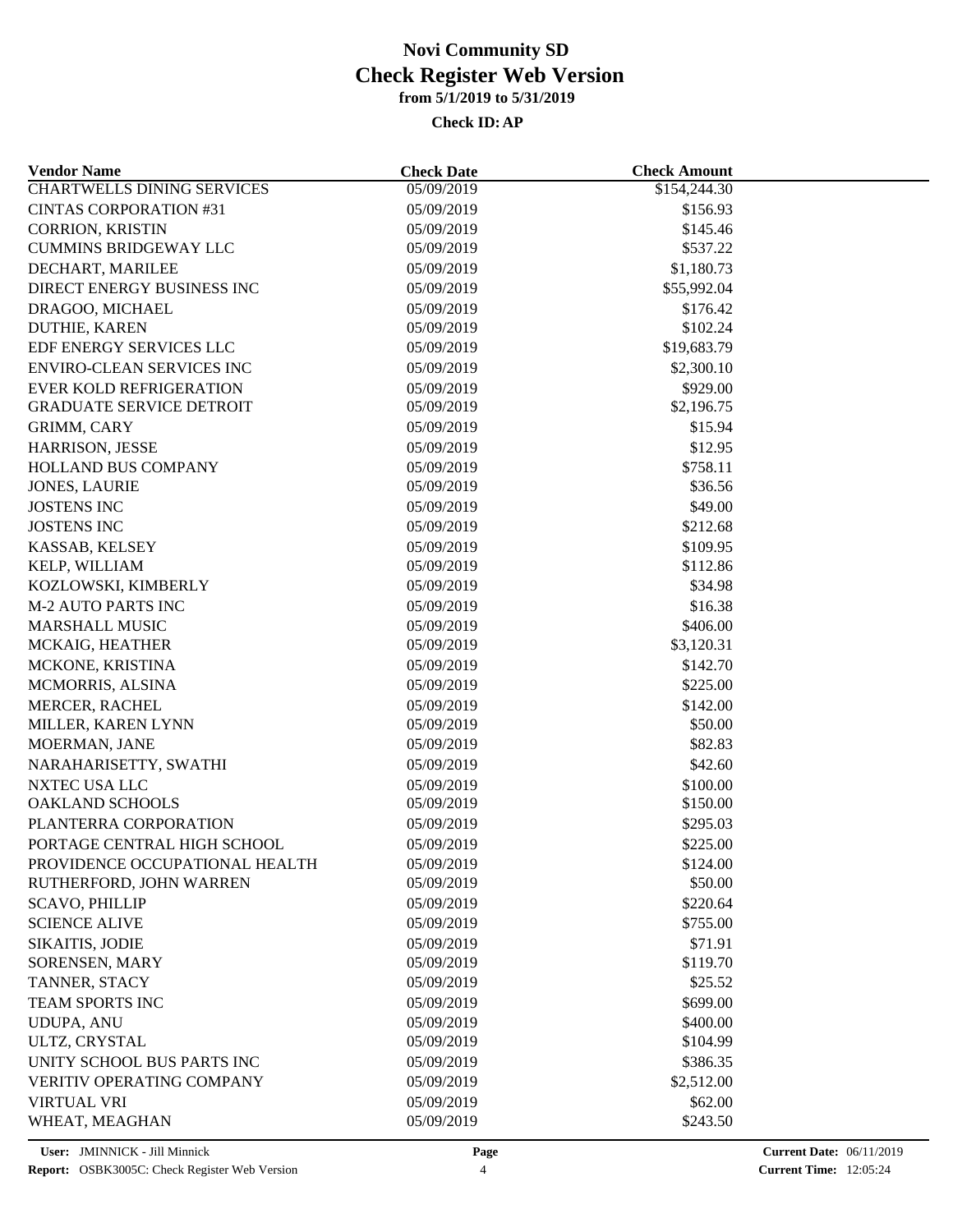| <b>Vendor Name</b>                | <b>Check Date</b>        | <b>Check Amount</b> |  |
|-----------------------------------|--------------------------|---------------------|--|
| <b>CHARTWELLS DINING SERVICES</b> | 05/09/2019               | \$154,244.30        |  |
| <b>CINTAS CORPORATION #31</b>     | 05/09/2019               | \$156.93            |  |
| <b>CORRION, KRISTIN</b>           | 05/09/2019               | \$145.46            |  |
| <b>CUMMINS BRIDGEWAY LLC</b>      | 05/09/2019               | \$537.22            |  |
| DECHART, MARILEE                  | 05/09/2019               | \$1,180.73          |  |
| DIRECT ENERGY BUSINESS INC        | 05/09/2019               | \$55,992.04         |  |
| DRAGOO, MICHAEL                   | 05/09/2019               | \$176.42            |  |
| DUTHIE, KAREN                     | 05/09/2019               | \$102.24            |  |
| EDF ENERGY SERVICES LLC           | 05/09/2019               | \$19,683.79         |  |
| <b>ENVIRO-CLEAN SERVICES INC</b>  | 05/09/2019               | \$2,300.10          |  |
| <b>EVER KOLD REFRIGERATION</b>    | 05/09/2019               | \$929.00            |  |
| <b>GRADUATE SERVICE DETROIT</b>   | 05/09/2019               | \$2,196.75          |  |
| GRIMM, CARY                       | 05/09/2019               | \$15.94             |  |
| HARRISON, JESSE                   | 05/09/2019               | \$12.95             |  |
| HOLLAND BUS COMPANY               | 05/09/2019               | \$758.11            |  |
| <b>JONES, LAURIE</b>              | 05/09/2019               | \$36.56             |  |
| <b>JOSTENS INC</b>                | 05/09/2019               | \$49.00             |  |
| <b>JOSTENS INC</b>                | 05/09/2019               | \$212.68            |  |
| KASSAB, KELSEY                    | 05/09/2019               | \$109.95            |  |
| KELP, WILLIAM                     | 05/09/2019               | \$112.86            |  |
| KOZLOWSKI, KIMBERLY               | 05/09/2019               | \$34.98             |  |
| <b>M-2 AUTO PARTS INC</b>         | 05/09/2019               | \$16.38             |  |
| <b>MARSHALL MUSIC</b>             | 05/09/2019               | \$406.00            |  |
| MCKAIG, HEATHER                   | 05/09/2019               | \$3,120.31          |  |
| MCKONE, KRISTINA                  | 05/09/2019               | \$142.70            |  |
| MCMORRIS, ALSINA                  | 05/09/2019               | \$225.00            |  |
| <b>MERCER, RACHEL</b>             | 05/09/2019               | \$142.00            |  |
| MILLER, KAREN LYNN                | 05/09/2019               | \$50.00             |  |
| MOERMAN, JANE                     | 05/09/2019               | \$82.83             |  |
| NARAHARISETTY, SWATHI             | 05/09/2019               | \$42.60             |  |
| NXTEC USA LLC                     | 05/09/2019               | \$100.00            |  |
| <b>OAKLAND SCHOOLS</b>            | 05/09/2019               | \$150.00            |  |
| PLANTERRA CORPORATION             | 05/09/2019               | \$295.03            |  |
| PORTAGE CENTRAL HIGH SCHOOL       | 05/09/2019               | \$225.00            |  |
| PROVIDENCE OCCUPATIONAL HEALTH    | 05/09/2019               | \$124.00            |  |
| RUTHERFORD, JOHN WARREN           | 05/09/2019               | \$50.00             |  |
| <b>SCAVO, PHILLIP</b>             | 05/09/2019               | \$220.64            |  |
| <b>SCIENCE ALIVE</b>              | 05/09/2019               | \$755.00            |  |
| SIKAITIS, JODIE                   |                          |                     |  |
| SORENSEN, MARY                    | 05/09/2019<br>05/09/2019 | \$71.91<br>\$119.70 |  |
| TANNER, STACY                     | 05/09/2019               | \$25.52             |  |
|                                   |                          |                     |  |
| <b>TEAM SPORTS INC</b>            | 05/09/2019               | \$699.00            |  |
| <b>UDUPA, ANU</b>                 | 05/09/2019               | \$400.00            |  |
| ULTZ, CRYSTAL                     | 05/09/2019               | \$104.99            |  |
| UNITY SCHOOL BUS PARTS INC        | 05/09/2019               | \$386.35            |  |
| <b>VERITIV OPERATING COMPANY</b>  | 05/09/2019               | \$2,512.00          |  |
| <b>VIRTUAL VRI</b>                | 05/09/2019               | \$62.00             |  |
| WHEAT, MEAGHAN                    | 05/09/2019               | \$243.50            |  |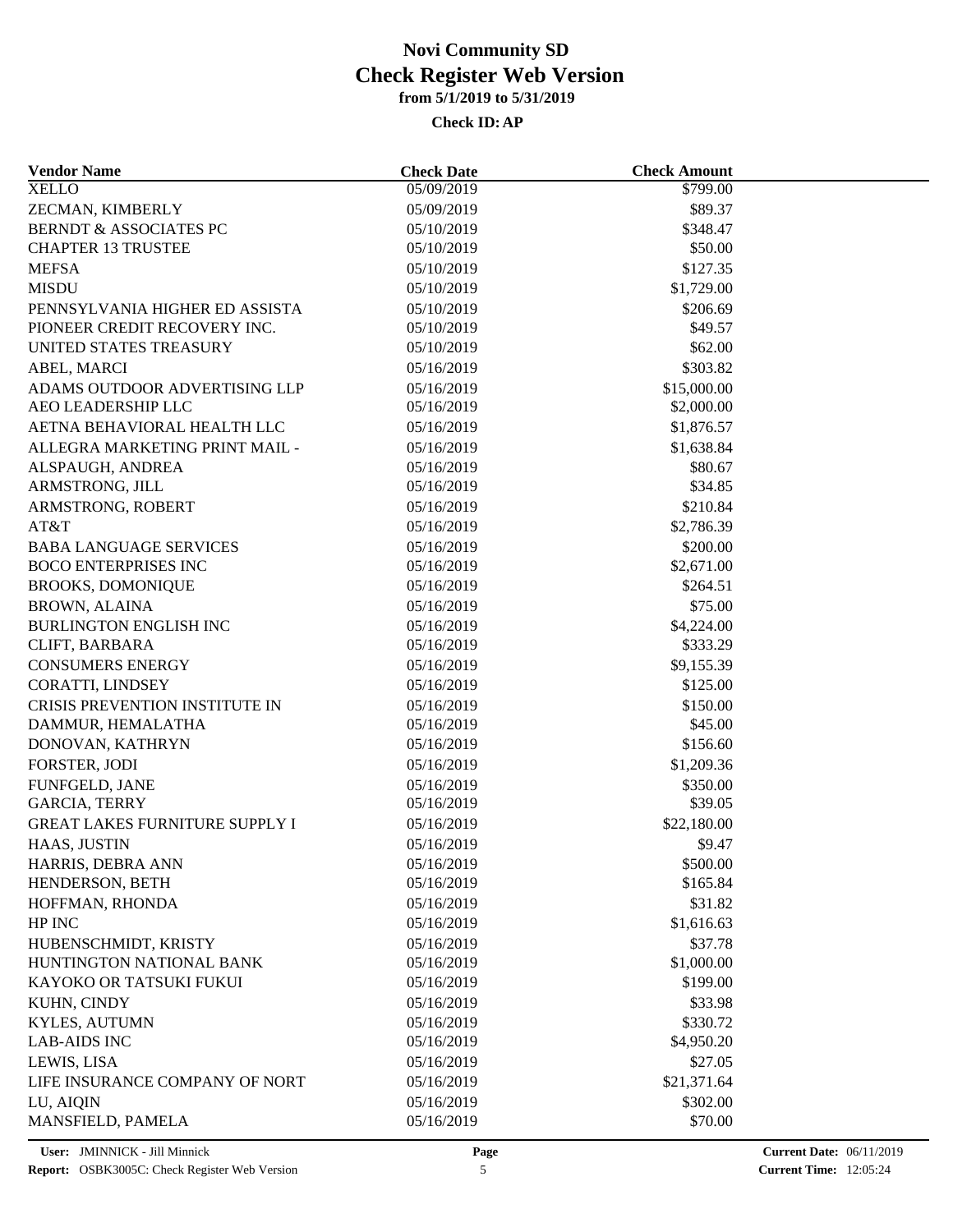| <b>Vendor Name</b>                    | <b>Check Date</b> | <b>Check Amount</b>  |  |
|---------------------------------------|-------------------|----------------------|--|
| <b>XELLO</b>                          | 05/09/2019        | \$799.00             |  |
| ZECMAN, KIMBERLY                      | 05/09/2019        | \$89.37              |  |
| <b>BERNDT &amp; ASSOCIATES PC</b>     | 05/10/2019        | \$348.47             |  |
| <b>CHAPTER 13 TRUSTEE</b>             | 05/10/2019        | \$50.00              |  |
| <b>MEFSA</b>                          | 05/10/2019        | \$127.35             |  |
| <b>MISDU</b>                          | 05/10/2019        | \$1,729.00           |  |
| PENNSYLVANIA HIGHER ED ASSISTA        | 05/10/2019        | \$206.69             |  |
| PIONEER CREDIT RECOVERY INC.          | 05/10/2019        | \$49.57              |  |
| UNITED STATES TREASURY                | 05/10/2019        | \$62.00              |  |
| ABEL, MARCI                           | 05/16/2019        | \$303.82             |  |
| ADAMS OUTDOOR ADVERTISING LLP         | 05/16/2019        | \$15,000.00          |  |
| AEO LEADERSHIP LLC                    | 05/16/2019        | \$2,000.00           |  |
| AETNA BEHAVIORAL HEALTH LLC           | 05/16/2019        | \$1,876.57           |  |
| ALLEGRA MARKETING PRINT MAIL -        | 05/16/2019        | \$1,638.84           |  |
| ALSPAUGH, ANDREA                      | 05/16/2019        | \$80.67              |  |
| ARMSTRONG, JILL                       | 05/16/2019        | \$34.85              |  |
| ARMSTRONG, ROBERT                     | 05/16/2019        | \$210.84             |  |
| AT&T                                  | 05/16/2019        | \$2,786.39           |  |
| <b>BABA LANGUAGE SERVICES</b>         | 05/16/2019        | \$200.00             |  |
| <b>BOCO ENTERPRISES INC</b>           | 05/16/2019        | \$2,671.00           |  |
| <b>BROOKS, DOMONIQUE</b>              | 05/16/2019        | \$264.51             |  |
| <b>BROWN, ALAINA</b>                  | 05/16/2019        | \$75.00              |  |
| <b>BURLINGTON ENGLISH INC</b>         | 05/16/2019        | \$4,224.00           |  |
| CLIFT, BARBARA                        | 05/16/2019        | \$333.29             |  |
| <b>CONSUMERS ENERGY</b>               | 05/16/2019        | \$9,155.39           |  |
| CORATTI, LINDSEY                      | 05/16/2019        | \$125.00             |  |
| CRISIS PREVENTION INSTITUTE IN        | 05/16/2019        | \$150.00             |  |
| DAMMUR, HEMALATHA                     | 05/16/2019        | \$45.00              |  |
| DONOVAN, KATHRYN                      | 05/16/2019        | \$156.60             |  |
| FORSTER, JODI                         | 05/16/2019        | \$1,209.36           |  |
| <b>FUNFGELD, JANE</b>                 | 05/16/2019        | \$350.00             |  |
| <b>GARCIA, TERRY</b>                  | 05/16/2019        | \$39.05              |  |
| <b>GREAT LAKES FURNITURE SUPPLY I</b> | 05/16/2019        | \$22,180.00          |  |
|                                       |                   | \$9.47               |  |
| HAAS, JUSTIN                          | 05/16/2019        |                      |  |
| HARRIS, DEBRA ANN<br>HENDERSON, BETH  | 05/16/2019        | \$500.00<br>\$165.84 |  |
|                                       | 05/16/2019        |                      |  |
| HOFFMAN, RHONDA                       | 05/16/2019        | \$31.82              |  |
| HP INC                                | 05/16/2019        | \$1,616.63           |  |
| HUBENSCHMIDT, KRISTY                  | 05/16/2019        | \$37.78              |  |
| HUNTINGTON NATIONAL BANK              | 05/16/2019        | \$1,000.00           |  |
| KAYOKO OR TATSUKI FUKUI               | 05/16/2019        | \$199.00             |  |
| KUHN, CINDY                           | 05/16/2019        | \$33.98              |  |
| KYLES, AUTUMN                         | 05/16/2019        | \$330.72             |  |
| <b>LAB-AIDS INC</b>                   | 05/16/2019        | \$4,950.20           |  |
| LEWIS, LISA                           | 05/16/2019        | \$27.05              |  |
| LIFE INSURANCE COMPANY OF NORT        | 05/16/2019        | \$21,371.64          |  |
| LU, AIQIN                             | 05/16/2019        | \$302.00             |  |
| MANSFIELD, PAMELA                     | 05/16/2019        | \$70.00              |  |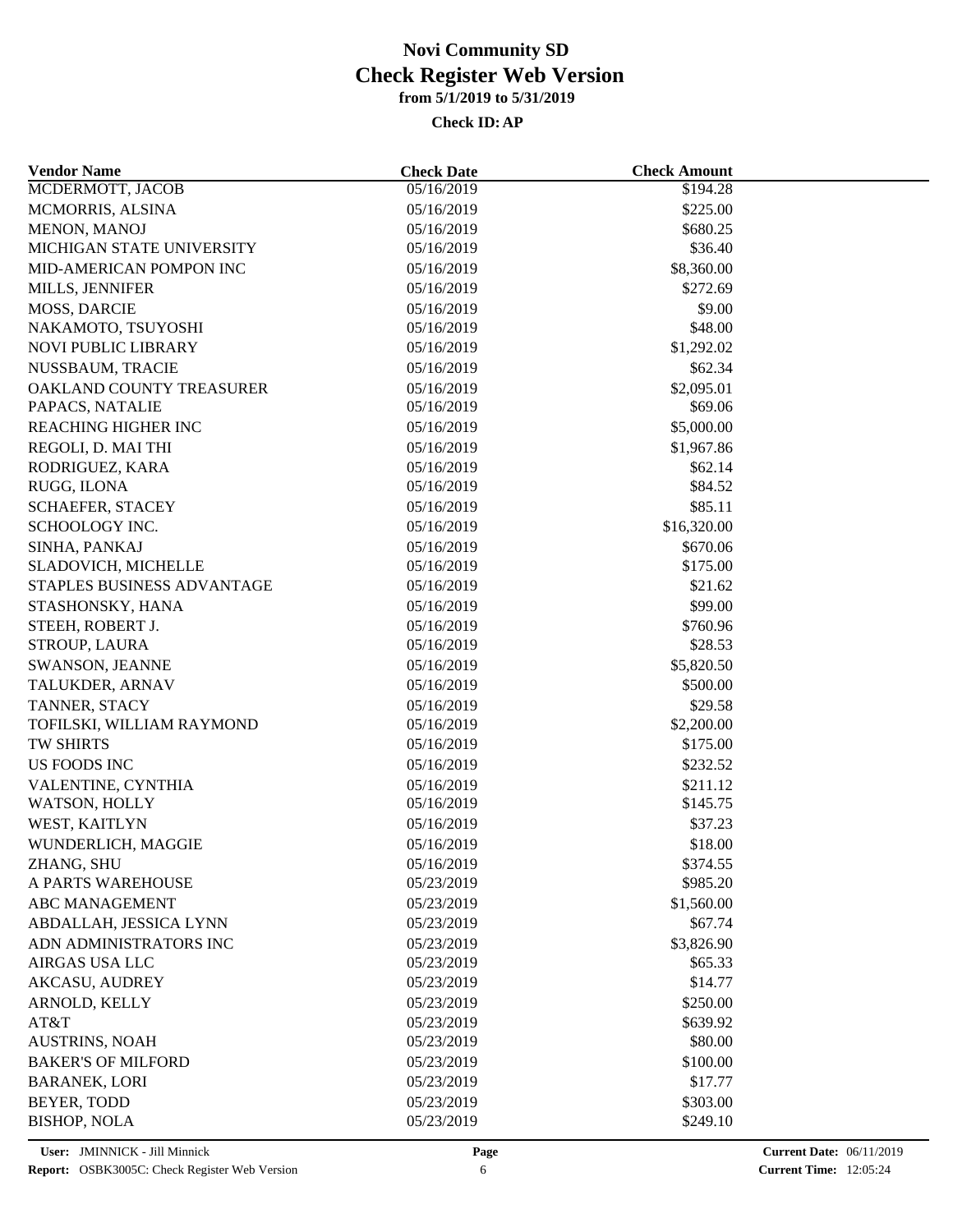| <b>Vendor Name</b>              | <b>Check Date</b> | <b>Check Amount</b>  |  |
|---------------------------------|-------------------|----------------------|--|
| MCDERMOTT, JACOB                | 05/16/2019        | $\overline{$194.28}$ |  |
| MCMORRIS, ALSINA                | 05/16/2019        | \$225.00             |  |
| MENON, MANOJ                    | 05/16/2019        | \$680.25             |  |
| MICHIGAN STATE UNIVERSITY       | 05/16/2019        | \$36.40              |  |
| MID-AMERICAN POMPON INC         | 05/16/2019        | \$8,360.00           |  |
| MILLS, JENNIFER                 | 05/16/2019        | \$272.69             |  |
| <b>MOSS, DARCIE</b>             | 05/16/2019        | \$9.00               |  |
| NAKAMOTO, TSUYOSHI              | 05/16/2019        | \$48.00              |  |
| <b>NOVI PUBLIC LIBRARY</b>      | 05/16/2019        | \$1,292.02           |  |
| NUSSBAUM, TRACIE                | 05/16/2019        | \$62.34              |  |
| OAKLAND COUNTY TREASURER        | 05/16/2019        | \$2,095.01           |  |
| PAPACS, NATALIE                 | 05/16/2019        | \$69.06              |  |
| <b>REACHING HIGHER INC</b>      | 05/16/2019        | \$5,000.00           |  |
| REGOLI, D. MAI THI              | 05/16/2019        | \$1,967.86           |  |
| RODRIGUEZ, KARA                 | 05/16/2019        | \$62.14              |  |
| RUGG, ILONA                     | 05/16/2019        | \$84.52              |  |
| SCHAEFER, STACEY                | 05/16/2019        | \$85.11              |  |
| SCHOOLOGY INC.                  | 05/16/2019        | \$16,320.00          |  |
| SINHA, PANKAJ                   | 05/16/2019        | \$670.06             |  |
| SLADOVICH, MICHELLE             | 05/16/2019        | \$175.00             |  |
| STAPLES BUSINESS ADVANTAGE      | 05/16/2019        | \$21.62              |  |
| STASHONSKY, HANA                | 05/16/2019        | \$99.00              |  |
| STEEH, ROBERT J.                | 05/16/2019        | \$760.96             |  |
| STROUP, LAURA                   | 05/16/2019        | \$28.53              |  |
| SWANSON, JEANNE                 | 05/16/2019        | \$5,820.50           |  |
| TALUKDER, ARNAV                 | 05/16/2019        | \$500.00             |  |
| TANNER, STACY                   | 05/16/2019        | \$29.58              |  |
| TOFILSKI, WILLIAM RAYMOND       | 05/16/2019        | \$2,200.00           |  |
| TW SHIRTS                       | 05/16/2019        | \$175.00             |  |
| US FOODS INC                    | 05/16/2019        | \$232.52             |  |
| VALENTINE, CYNTHIA              | 05/16/2019        | \$211.12             |  |
| WATSON, HOLLY                   | 05/16/2019        | \$145.75             |  |
| WEST, KAITLYN                   | 05/16/2019        | \$37.23              |  |
|                                 |                   | \$18.00              |  |
| WUNDERLICH, MAGGIE              | 05/16/2019        |                      |  |
| ZHANG, SHU<br>A PARTS WAREHOUSE | 05/16/2019        | \$374.55             |  |
|                                 | 05/23/2019        | \$985.20             |  |
| <b>ABC MANAGEMENT</b>           | 05/23/2019        | \$1,560.00           |  |
| ABDALLAH, JESSICA LYNN          | 05/23/2019        | \$67.74              |  |
| ADN ADMINISTRATORS INC          | 05/23/2019        | \$3,826.90           |  |
| AIRGAS USA LLC                  | 05/23/2019        | \$65.33              |  |
| <b>AKCASU, AUDREY</b>           | 05/23/2019        | \$14.77              |  |
| ARNOLD, KELLY                   | 05/23/2019        | \$250.00             |  |
| AT&T                            | 05/23/2019        | \$639.92             |  |
| <b>AUSTRINS, NOAH</b>           | 05/23/2019        | \$80.00              |  |
| <b>BAKER'S OF MILFORD</b>       | 05/23/2019        | \$100.00             |  |
| <b>BARANEK, LORI</b>            | 05/23/2019        | \$17.77              |  |
| BEYER, TODD                     | 05/23/2019        | \$303.00             |  |
| <b>BISHOP, NOLA</b>             | 05/23/2019        | \$249.10             |  |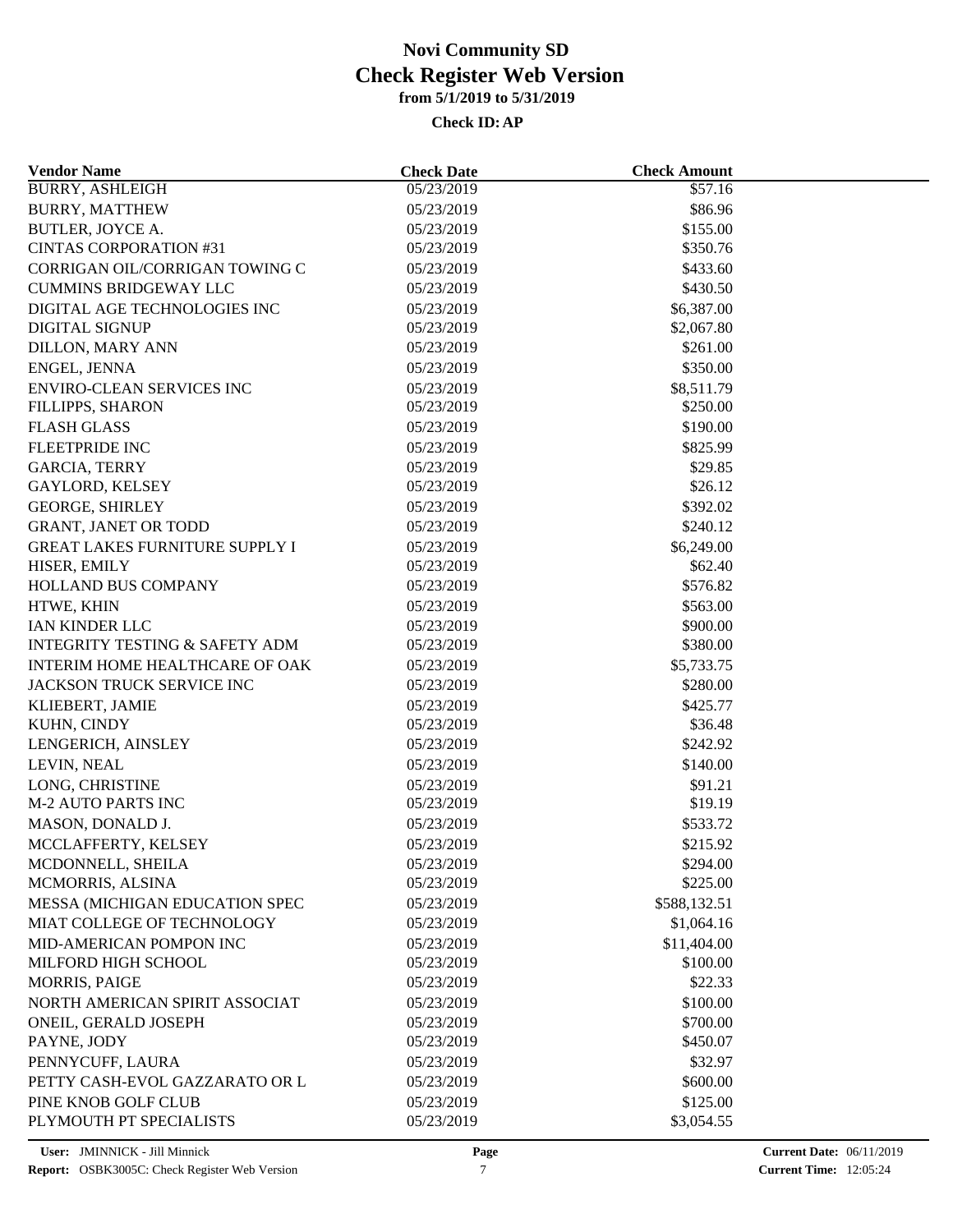| <b>Vendor Name</b>                        | <b>Check Date</b> | <b>Check Amount</b> |  |
|-------------------------------------------|-------------------|---------------------|--|
| <b>BURRY, ASHLEIGH</b>                    | 05/23/2019        | \$57.16             |  |
| <b>BURRY, MATTHEW</b>                     | 05/23/2019        | \$86.96             |  |
| <b>BUTLER, JOYCE A.</b>                   | 05/23/2019        | \$155.00            |  |
| <b>CINTAS CORPORATION #31</b>             | 05/23/2019        | \$350.76            |  |
| CORRIGAN OIL/CORRIGAN TOWING C            | 05/23/2019        | \$433.60            |  |
| <b>CUMMINS BRIDGEWAY LLC</b>              | 05/23/2019        | \$430.50            |  |
| DIGITAL AGE TECHNOLOGIES INC              | 05/23/2019        | \$6,387.00          |  |
| <b>DIGITAL SIGNUP</b>                     | 05/23/2019        | \$2,067.80          |  |
| <b>DILLON, MARY ANN</b>                   | 05/23/2019        | \$261.00            |  |
| ENGEL, JENNA                              | 05/23/2019        | \$350.00            |  |
| <b>ENVIRO-CLEAN SERVICES INC</b>          | 05/23/2019        | \$8,511.79          |  |
| FILLIPPS, SHARON                          | 05/23/2019        | \$250.00            |  |
| <b>FLASH GLASS</b>                        | 05/23/2019        | \$190.00            |  |
| <b>FLEETPRIDE INC</b>                     | 05/23/2019        | \$825.99            |  |
| <b>GARCIA, TERRY</b>                      | 05/23/2019        | \$29.85             |  |
| <b>GAYLORD, KELSEY</b>                    | 05/23/2019        | \$26.12             |  |
| <b>GEORGE, SHIRLEY</b>                    | 05/23/2019        | \$392.02            |  |
| <b>GRANT, JANET OR TODD</b>               | 05/23/2019        | \$240.12            |  |
| <b>GREAT LAKES FURNITURE SUPPLY I</b>     | 05/23/2019        | \$6,249.00          |  |
| HISER, EMILY                              | 05/23/2019        | \$62.40             |  |
| HOLLAND BUS COMPANY                       | 05/23/2019        | \$576.82            |  |
| HTWE, KHIN                                | 05/23/2019        | \$563.00            |  |
| IAN KINDER LLC                            | 05/23/2019        | \$900.00            |  |
| <b>INTEGRITY TESTING &amp; SAFETY ADM</b> | 05/23/2019        | \$380.00            |  |
| INTERIM HOME HEALTHCARE OF OAK            | 05/23/2019        | \$5,733.75          |  |
|                                           |                   |                     |  |
| JACKSON TRUCK SERVICE INC                 | 05/23/2019        | \$280.00            |  |
| KLIEBERT, JAMIE                           | 05/23/2019        | \$425.77            |  |
| KUHN, CINDY                               | 05/23/2019        | \$36.48             |  |
| LENGERICH, AINSLEY                        | 05/23/2019        | \$242.92            |  |
| LEVIN, NEAL                               | 05/23/2019        | \$140.00            |  |
| LONG, CHRISTINE                           | 05/23/2019        | \$91.21             |  |
| <b>M-2 AUTO PARTS INC</b>                 | 05/23/2019        | \$19.19             |  |
| MASON, DONALD J.                          | 05/23/2019        | \$533.72            |  |
| MCCLAFFERTY, KELSEY                       | 05/23/2019        | \$215.92            |  |
| MCDONNELL, SHEILA                         | 05/23/2019        | \$294.00            |  |
| MCMORRIS, ALSINA                          | 05/23/2019        | \$225.00            |  |
| MESSA (MICHIGAN EDUCATION SPEC            | 05/23/2019        | \$588,132.51        |  |
| MIAT COLLEGE OF TECHNOLOGY                | 05/23/2019        | \$1,064.16          |  |
| MID-AMERICAN POMPON INC                   | 05/23/2019        | \$11,404.00         |  |
| MILFORD HIGH SCHOOL                       | 05/23/2019        | \$100.00            |  |
| <b>MORRIS, PAIGE</b>                      | 05/23/2019        | \$22.33             |  |
| NORTH AMERICAN SPIRIT ASSOCIAT            | 05/23/2019        | \$100.00            |  |
| ONEIL, GERALD JOSEPH                      | 05/23/2019        | \$700.00            |  |
| PAYNE, JODY                               | 05/23/2019        | \$450.07            |  |
| PENNYCUFF, LAURA                          | 05/23/2019        | \$32.97             |  |
| PETTY CASH-EVOL GAZZARATO OR L            | 05/23/2019        | \$600.00            |  |
| PINE KNOB GOLF CLUB                       | 05/23/2019        | \$125.00            |  |
| PLYMOUTH PT SPECIALISTS                   | 05/23/2019        | \$3,054.55          |  |
|                                           |                   |                     |  |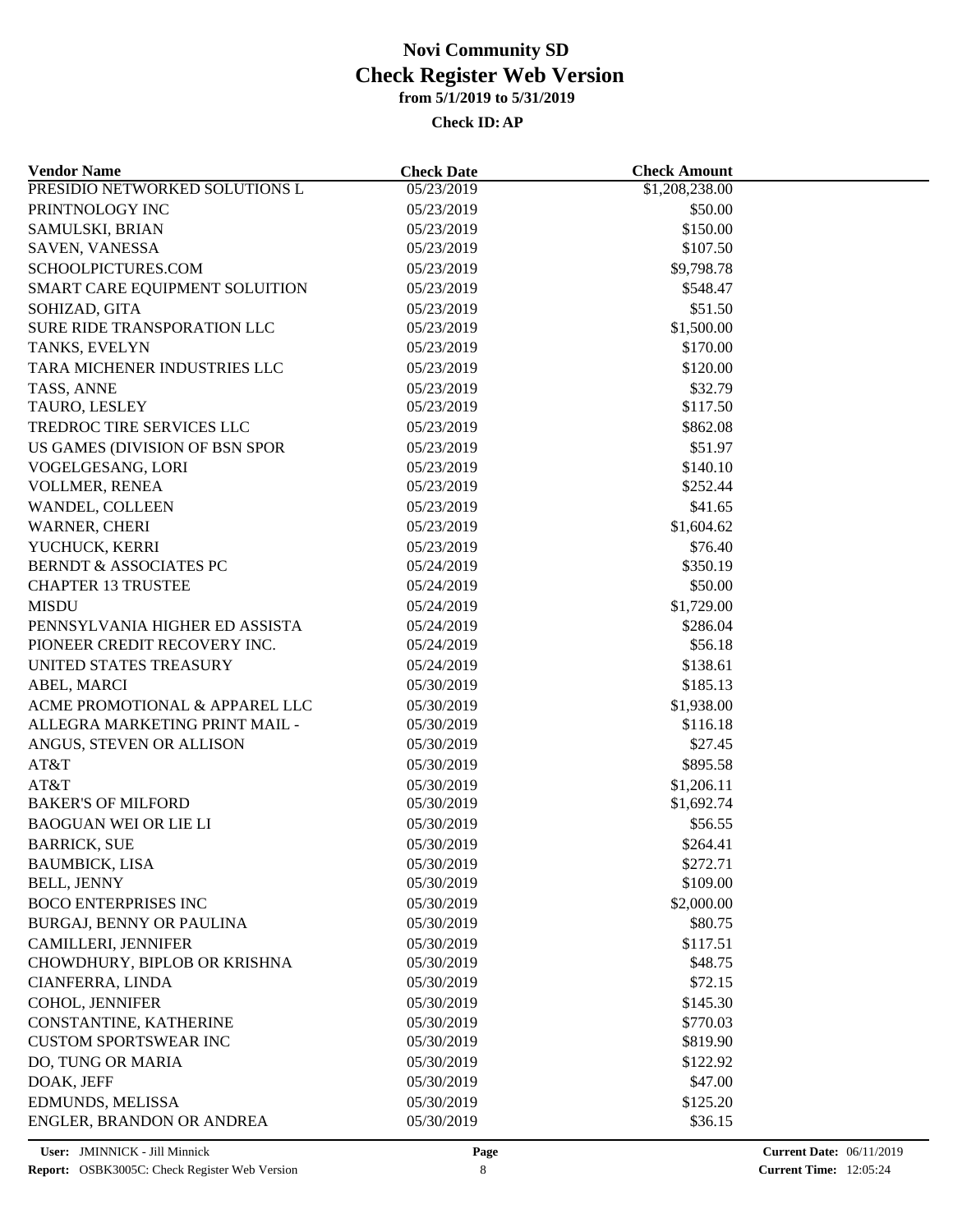| <b>Vendor Name</b>                                             | <b>Check Date</b> | <b>Check Amount</b> |  |
|----------------------------------------------------------------|-------------------|---------------------|--|
| PRESIDIO NETWORKED SOLUTIONS L                                 | 05/23/2019        | \$1,208,238.00      |  |
| PRINTNOLOGY INC                                                | 05/23/2019        | \$50.00             |  |
| SAMULSKI, BRIAN                                                | 05/23/2019        | \$150.00            |  |
| SAVEN, VANESSA                                                 | 05/23/2019        | \$107.50            |  |
| SCHOOLPICTURES.COM                                             | 05/23/2019        | \$9,798.78          |  |
| SMART CARE EQUIPMENT SOLUITION                                 | 05/23/2019        | \$548.47            |  |
| SOHIZAD, GITA                                                  | 05/23/2019        | \$51.50             |  |
| SURE RIDE TRANSPORATION LLC                                    | 05/23/2019        | \$1,500.00          |  |
| TANKS, EVELYN                                                  | 05/23/2019        | \$170.00            |  |
| TARA MICHENER INDUSTRIES LLC                                   | 05/23/2019        | \$120.00            |  |
| TASS, ANNE                                                     | 05/23/2019        | \$32.79             |  |
| TAURO, LESLEY                                                  | 05/23/2019        | \$117.50            |  |
| TREDROC TIRE SERVICES LLC                                      | 05/23/2019        | \$862.08            |  |
| US GAMES (DIVISION OF BSN SPOR                                 | 05/23/2019        | \$51.97             |  |
| VOGELGESANG, LORI                                              | 05/23/2019        | \$140.10            |  |
| VOLLMER, RENEA                                                 | 05/23/2019        | \$252.44            |  |
| WANDEL, COLLEEN                                                | 05/23/2019        | \$41.65             |  |
| WARNER, CHERI                                                  | 05/23/2019        | \$1,604.62          |  |
| YUCHUCK, KERRI                                                 | 05/23/2019        | \$76.40             |  |
| <b>BERNDT &amp; ASSOCIATES PC</b>                              | 05/24/2019        | \$350.19            |  |
| <b>CHAPTER 13 TRUSTEE</b>                                      | 05/24/2019        | \$50.00             |  |
| <b>MISDU</b>                                                   |                   | \$1,729.00          |  |
|                                                                | 05/24/2019        |                     |  |
| PENNSYLVANIA HIGHER ED ASSISTA<br>PIONEER CREDIT RECOVERY INC. | 05/24/2019        | \$286.04            |  |
|                                                                | 05/24/2019        | \$56.18             |  |
| UNITED STATES TREASURY                                         | 05/24/2019        | \$138.61            |  |
| ABEL, MARCI                                                    | 05/30/2019        | \$185.13            |  |
| ACME PROMOTIONAL & APPAREL LLC                                 | 05/30/2019        | \$1,938.00          |  |
| ALLEGRA MARKETING PRINT MAIL -                                 | 05/30/2019        | \$116.18            |  |
| ANGUS, STEVEN OR ALLISON                                       | 05/30/2019        | \$27.45             |  |
| AT&T                                                           | 05/30/2019        | \$895.58            |  |
| AT&T                                                           | 05/30/2019        | \$1,206.11          |  |
| <b>BAKER'S OF MILFORD</b>                                      | 05/30/2019        | \$1,692.74          |  |
| <b>BAOGUAN WEI OR LIE LI</b>                                   | 05/30/2019        | \$56.55             |  |
| <b>BARRICK, SUE</b>                                            | 05/30/2019        | \$264.41            |  |
| <b>BAUMBICK, LISA</b>                                          | 05/30/2019        | \$272.71            |  |
| <b>BELL, JENNY</b>                                             | 05/30/2019        | \$109.00            |  |
| <b>BOCO ENTERPRISES INC</b>                                    | 05/30/2019        | \$2,000.00          |  |
| <b>BURGAJ, BENNY OR PAULINA</b>                                | 05/30/2019        | \$80.75             |  |
| <b>CAMILLERI, JENNIFER</b>                                     | 05/30/2019        | \$117.51            |  |
| CHOWDHURY, BIPLOB OR KRISHNA                                   | 05/30/2019        | \$48.75             |  |
| CIANFERRA, LINDA                                               | 05/30/2019        | \$72.15             |  |
| COHOL, JENNIFER                                                | 05/30/2019        | \$145.30            |  |
| CONSTANTINE, KATHERINE                                         | 05/30/2019        | \$770.03            |  |
| <b>CUSTOM SPORTSWEAR INC</b>                                   | 05/30/2019        | \$819.90            |  |
| DO, TUNG OR MARIA                                              | 05/30/2019        | \$122.92            |  |
| DOAK, JEFF                                                     | 05/30/2019        | \$47.00             |  |
| EDMUNDS, MELISSA                                               | 05/30/2019        | \$125.20            |  |
| ENGLER, BRANDON OR ANDREA                                      | 05/30/2019        | \$36.15             |  |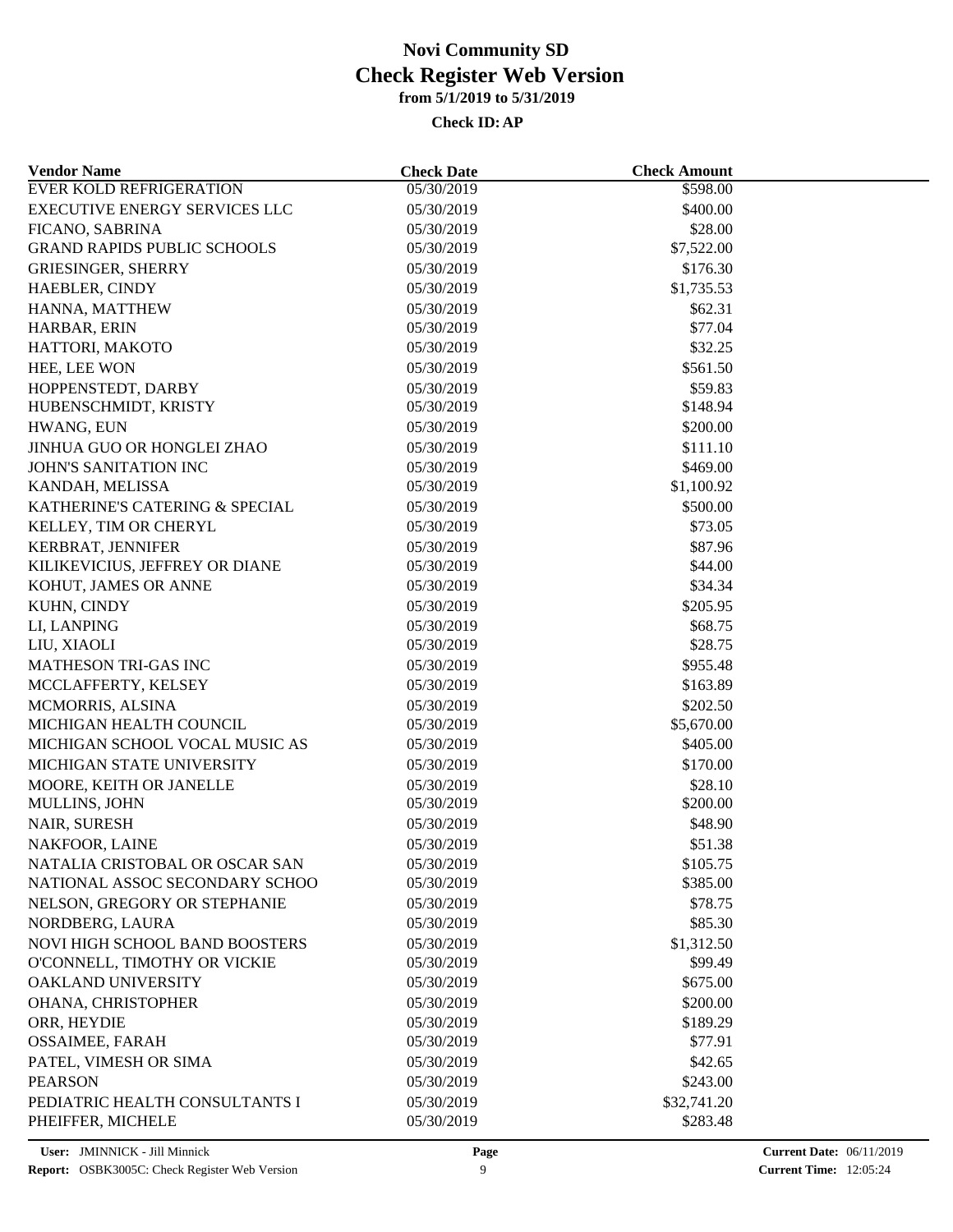| <b>Vendor Name</b>                 | <b>Check Date</b>        | <b>Check Amount</b>   |  |
|------------------------------------|--------------------------|-----------------------|--|
| <b>EVER KOLD REFRIGERATION</b>     | 05/30/2019               | \$598.00              |  |
| EXECUTIVE ENERGY SERVICES LLC      | 05/30/2019               | \$400.00              |  |
| FICANO, SABRINA                    | 05/30/2019               | \$28.00               |  |
| <b>GRAND RAPIDS PUBLIC SCHOOLS</b> | 05/30/2019               | \$7,522.00            |  |
| <b>GRIESINGER, SHERRY</b>          | 05/30/2019               | \$176.30              |  |
| HAEBLER, CINDY                     | 05/30/2019               | \$1,735.53            |  |
| HANNA, MATTHEW                     | 05/30/2019               | \$62.31               |  |
| HARBAR, ERIN                       | 05/30/2019               | \$77.04               |  |
| HATTORI, MAKOTO                    | 05/30/2019               | \$32.25               |  |
| HEE, LEE WON                       | 05/30/2019               | \$561.50              |  |
| HOPPENSTEDT, DARBY                 | 05/30/2019               | \$59.83               |  |
| HUBENSCHMIDT, KRISTY               | 05/30/2019               | \$148.94              |  |
| HWANG, EUN                         | 05/30/2019               | \$200.00              |  |
| JINHUA GUO OR HONGLEI ZHAO         | 05/30/2019               | \$111.10              |  |
| JOHN'S SANITATION INC              | 05/30/2019               | \$469.00              |  |
| KANDAH, MELISSA                    | 05/30/2019               | \$1,100.92            |  |
| KATHERINE'S CATERING & SPECIAL     | 05/30/2019               | \$500.00              |  |
| KELLEY, TIM OR CHERYL              | 05/30/2019               | \$73.05               |  |
| KERBRAT, JENNIFER                  | 05/30/2019               | \$87.96               |  |
| KILIKEVICIUS, JEFFREY OR DIANE     | 05/30/2019               | \$44.00               |  |
| KOHUT, JAMES OR ANNE               | 05/30/2019               | \$34.34               |  |
| KUHN, CINDY                        | 05/30/2019               | \$205.95              |  |
| LI, LANPING                        | 05/30/2019               | \$68.75               |  |
| LIU, XIAOLI                        | 05/30/2019               | \$28.75               |  |
| <b>MATHESON TRI-GAS INC</b>        | 05/30/2019               | \$955.48              |  |
| MCCLAFFERTY, KELSEY                | 05/30/2019               | \$163.89              |  |
| MCMORRIS, ALSINA                   | 05/30/2019               | \$202.50              |  |
| MICHIGAN HEALTH COUNCIL            | 05/30/2019               | \$5,670.00            |  |
| MICHIGAN SCHOOL VOCAL MUSIC AS     | 05/30/2019               | \$405.00              |  |
| MICHIGAN STATE UNIVERSITY          | 05/30/2019               | \$170.00              |  |
| MOORE, KEITH OR JANELLE            | 05/30/2019               | \$28.10               |  |
| MULLINS, JOHN                      | 05/30/2019               | \$200.00              |  |
| NAIR, SURESH                       | 05/30/2019               | \$48.90               |  |
| NAKFOOR, LAINE                     | 05/30/2019               | \$51.38               |  |
| NATALIA CRISTOBAL OR OSCAR SAN     | 05/30/2019               | \$105.75              |  |
| NATIONAL ASSOC SECONDARY SCHOO     | 05/30/2019               | \$385.00              |  |
| NELSON, GREGORY OR STEPHANIE       | 05/30/2019               | \$78.75               |  |
| NORDBERG, LAURA                    | 05/30/2019               | \$85.30               |  |
| NOVI HIGH SCHOOL BAND BOOSTERS     |                          |                       |  |
| O'CONNELL, TIMOTHY OR VICKIE       | 05/30/2019<br>05/30/2019 | \$1,312.50<br>\$99.49 |  |
| OAKLAND UNIVERSITY                 | 05/30/2019               | \$675.00              |  |
|                                    |                          |                       |  |
| OHANA, CHRISTOPHER                 | 05/30/2019               | \$200.00              |  |
| ORR, HEYDIE                        | 05/30/2019               | \$189.29              |  |
| <b>OSSAIMEE, FARAH</b>             | 05/30/2019               | \$77.91               |  |
| PATEL, VIMESH OR SIMA              | 05/30/2019               | \$42.65               |  |
| <b>PEARSON</b>                     | 05/30/2019               | \$243.00              |  |
| PEDIATRIC HEALTH CONSULTANTS I     | 05/30/2019               | \$32,741.20           |  |
| PHEIFFER, MICHELE                  | 05/30/2019               | \$283.48              |  |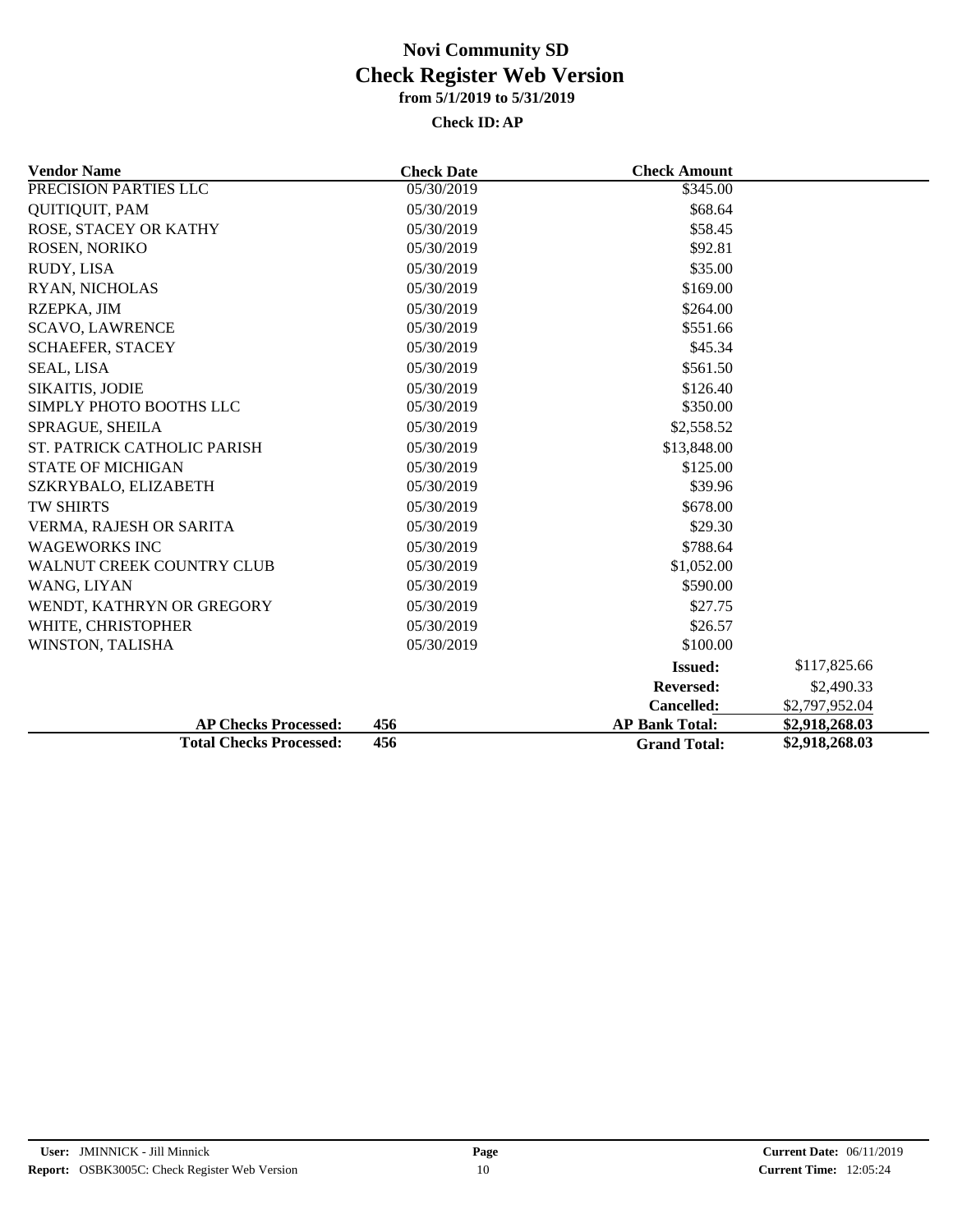| <b>Vendor Name</b>             | <b>Check Date</b> | <b>Check Amount</b>   |                |
|--------------------------------|-------------------|-----------------------|----------------|
| PRECISION PARTIES LLC          | 05/30/2019        | \$345.00              |                |
| QUITIQUIT, PAM                 | 05/30/2019        | \$68.64               |                |
| ROSE, STACEY OR KATHY          | 05/30/2019        | \$58.45               |                |
| ROSEN, NORIKO                  | 05/30/2019        | \$92.81               |                |
| RUDY, LISA                     | 05/30/2019        | \$35.00               |                |
| RYAN, NICHOLAS                 | 05/30/2019        | \$169.00              |                |
| RZEPKA, JIM                    | 05/30/2019        | \$264.00              |                |
| <b>SCAVO, LAWRENCE</b>         | 05/30/2019        | \$551.66              |                |
| SCHAEFER, STACEY               | 05/30/2019        | \$45.34               |                |
| <b>SEAL, LISA</b>              | 05/30/2019        | \$561.50              |                |
| <b>SIKAITIS, JODIE</b>         | 05/30/2019        | \$126.40              |                |
| SIMPLY PHOTO BOOTHS LLC        | 05/30/2019        | \$350.00              |                |
| SPRAGUE, SHEILA                | 05/30/2019        | \$2,558.52            |                |
| ST. PATRICK CATHOLIC PARISH    | 05/30/2019        | \$13,848.00           |                |
| <b>STATE OF MICHIGAN</b>       | 05/30/2019        | \$125.00              |                |
| SZKRYBALO, ELIZABETH           | 05/30/2019        | \$39.96               |                |
| <b>TW SHIRTS</b>               | 05/30/2019        | \$678.00              |                |
| VERMA, RAJESH OR SARITA        | 05/30/2019        | \$29.30               |                |
| <b>WAGEWORKS INC</b>           | 05/30/2019        | \$788.64              |                |
| WALNUT CREEK COUNTRY CLUB      | 05/30/2019        | \$1,052.00            |                |
| WANG, LIYAN                    | 05/30/2019        | \$590.00              |                |
| WENDT, KATHRYN OR GREGORY      | 05/30/2019        | \$27.75               |                |
| WHITE, CHRISTOPHER             | 05/30/2019        | \$26.57               |                |
| WINSTON, TALISHA               | 05/30/2019        | \$100.00              |                |
|                                |                   | <b>Issued:</b>        | \$117,825.66   |
|                                |                   | <b>Reversed:</b>      | \$2,490.33     |
|                                |                   | Cancelled:            | \$2,797,952.04 |
| <b>AP Checks Processed:</b>    | 456               | <b>AP Bank Total:</b> | \$2,918,268.03 |
| <b>Total Checks Processed:</b> | 456               | <b>Grand Total:</b>   | \$2,918,268.03 |